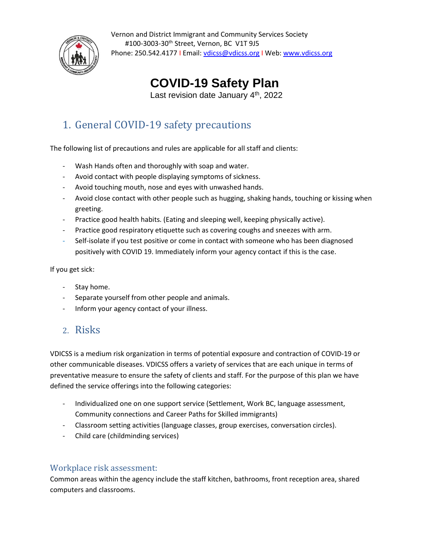

Vernon and District Immigrant and Community Services Society #100-3003-30th Street, Vernon, BC V1T 9J5 Phone: 250.542.4177 | Email[: vdicss@vdicss.](mailto:vdicss@vdicss)org | Web: [www.vdicss.o](http://www.vdicss./)rg

# **COVID-19 Safety Plan**

Last revision date January 4<sup>th</sup>, 2022

## 1. General COVID-19 safety precautions

The following list of precautions and rules are applicable for all staff and clients:

- Wash Hands often and thoroughly with soap and water.
- Avoid contact with people displaying symptoms of sickness.
- Avoid touching mouth, nose and eyes with unwashed hands.
- Avoid close contact with other people such as hugging, shaking hands, touching or kissing when greeting.
- Practice good health habits. (Eating and sleeping well, keeping physically active).
- Practice good respiratory etiquette such as covering coughs and sneezes with arm.
- Self-isolate if you test positive or come in contact with someone who has been diagnosed positively with COVID 19. Immediately inform your agency contact if this is the case.

If you get sick:

- Stay home.
- Separate yourself from other people and animals.
- Inform your agency contact of your illness.

## 2. Risks

VDICSS is a medium risk organization in terms of potential exposure and contraction of COVID-19 or other communicable diseases. VDICSS offers a variety of services that are each unique in terms of preventative measure to ensure the safety of clients and staff. For the purpose of this plan we have defined the service offerings into the following categories:

- Individualized one on one support service (Settlement, Work BC, language assessment, Community connections and Career Paths for Skilled immigrants)
- Classroom setting activities (language classes, group exercises, conversation circles).
- Child care (childminding services)

#### Workplace risk assessment:

Common areas within the agency include the staff kitchen, bathrooms, front reception area, shared computers and classrooms.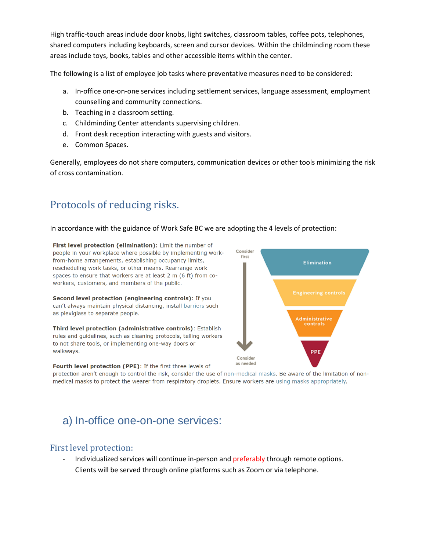High traffic-touch areas include door knobs, light switches, classroom tables, coffee pots, telephones, shared computers including keyboards, screen and cursor devices. Within the childminding room these areas include toys, books, tables and other accessible items within the center.

The following is a list of employee job tasks where preventative measures need to be considered:

- a. In-office one-on-one services including settlement services, language assessment, employment counselling and community connections.
- b. Teaching in a classroom setting.
- c. Childminding Center attendants supervising children.
- d. Front desk reception interacting with guests and visitors.
- e. Common Spaces.

Generally, employees do not share computers, communication devices or other tools minimizing the risk of cross contamination.

## Protocols of reducing risks.

#### In accordance with the guidance of Work Safe BC we are adopting the 4 levels of protection:

First level protection (elimination): Limit the number of people in your workplace where possible by implementing workfrom-home arrangements, establishing occupancy limits, rescheduling work tasks, or other means. Rearrange work spaces to ensure that workers are at least 2 m (6 ft) from coworkers, customers, and members of the public.

Second level protection (engineering controls): If you can't always maintain physical distancing, install barriers such as plexiglass to separate people.

Third level protection (administrative controls): Establish rules and guidelines, such as cleaning protocols, telling workers to not share tools, or implementing one-way doors or walkways.



Fourth level protection (PPE): If the first three levels of

protection aren't enough to control the risk, consider the use of non-medical masks. Be aware of the limitation of nonmedical masks to protect the wearer from respiratory droplets. Ensure workers are using masks appropriately.

# a) In-office one-on-one services:

#### First level protection:

Individualized services will continue in-person and preferably through remote options. Clients will be served through online platforms such as Zoom or via telephone.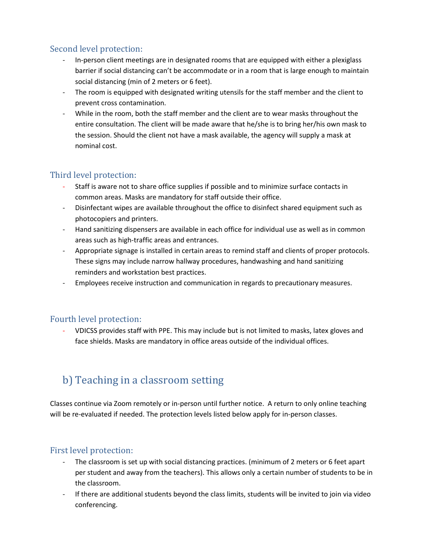### Second level protection:

- In-person client meetings are in designated rooms that are equipped with either a plexiglass barrier if social distancing can't be accommodate or in a room that is large enough to maintain social distancing (min of 2 meters or 6 feet).
- The room is equipped with designated writing utensils for the staff member and the client to prevent cross contamination.
- While in the room, both the staff member and the client are to wear masks throughout the entire consultation. The client will be made aware that he/she is to bring her/his own mask to the session. Should the client not have a mask available, the agency will supply a mask at nominal cost.

### Third level protection:

- Staff is aware not to share office supplies if possible and to minimize surface contacts in common areas. Masks are mandatory for staff outside their office.
- Disinfectant wipes are available throughout the office to disinfect shared equipment such as photocopiers and printers.
- Hand sanitizing dispensers are available in each office for individual use as well as in common areas such as high-traffic areas and entrances.
- Appropriate signage is installed in certain areas to remind staff and clients of proper protocols. These signs may include narrow hallway procedures, handwashing and hand sanitizing reminders and workstation best practices.
- Employees receive instruction and communication in regards to precautionary measures.

#### Fourth level protection:

- VDICSS provides staff with PPE. This may include but is not limited to masks, latex gloves and face shields. Masks are mandatory in office areas outside of the individual offices.

# b) Teaching in a classroom setting

Classes continue via Zoom remotely or in-person until further notice. A return to only online teaching will be re-evaluated if needed. The protection levels listed below apply for in-person classes.

### First level protection:

- The classroom is set up with social distancing practices. (minimum of 2 meters or 6 feet apart per student and away from the teachers). This allows only a certain number of students to be in the classroom.
- If there are additional students beyond the class limits, students will be invited to join via video conferencing.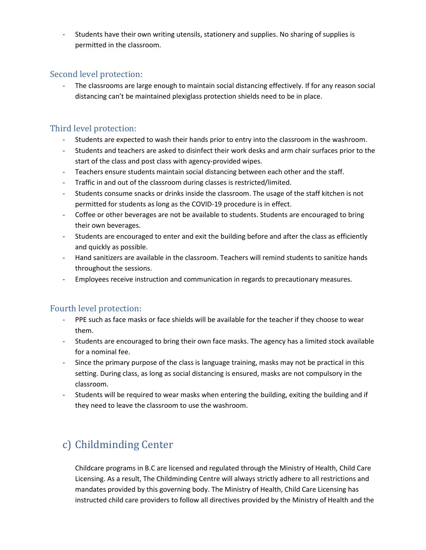Students have their own writing utensils, stationery and supplies. No sharing of supplies is permitted in the classroom.

#### Second level protection:

The classrooms are large enough to maintain social distancing effectively. If for any reason social distancing can't be maintained plexiglass protection shields need to be in place.

#### Third level protection:

- Students are expected to wash their hands prior to entry into the classroom in the washroom.
- Students and teachers are asked to disinfect their work desks and arm chair surfaces prior to the start of the class and post class with agency-provided wipes.
- Teachers ensure students maintain social distancing between each other and the staff.
- Traffic in and out of the classroom during classes is restricted/limited.
- Students consume snacks or drinks inside the classroom. The usage of the staff kitchen is not permitted for students as long as the COVID-19 procedure is in effect.
- Coffee or other beverages are not be available to students. Students are encouraged to bring their own beverages.
- Students are encouraged to enter and exit the building before and after the class as efficiently and quickly as possible.
- Hand sanitizers are available in the classroom. Teachers will remind students to sanitize hands throughout the sessions.
- Employees receive instruction and communication in regards to precautionary measures.

#### Fourth level protection:

- PPE such as face masks or face shields will be available for the teacher if they choose to wear them.
- Students are encouraged to bring their own face masks. The agency has a limited stock available for a nominal fee.
- Since the primary purpose of the class is language training, masks may not be practical in this setting. During class, as long as social distancing is ensured, masks are not compulsory in the classroom.
- Students will be required to wear masks when entering the building, exiting the building and if they need to leave the classroom to use the washroom.

## c) Childminding Center

Childcare programs in B.C are licensed and regulated through the Ministry of Health, Child Care Licensing. As a result, The Childminding Centre will always strictly adhere to all restrictions and mandates provided by this governing body. The Ministry of Health, Child Care Licensing has instructed child care providers to follow all directives provided by the Ministry of Health and the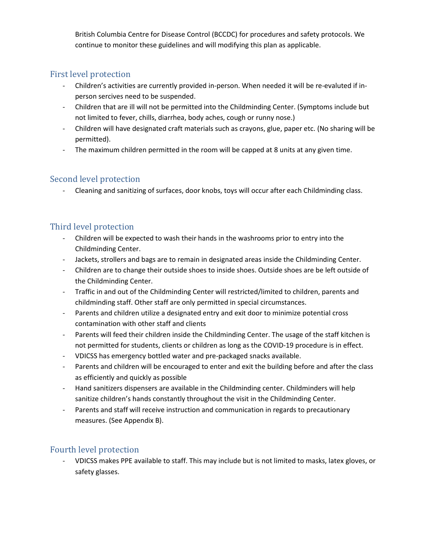British Columbia Centre for Disease Control (BCCDC) for procedures and safety protocols. We continue to monitor these guidelines and will modifying this plan as applicable.

### First level protection

- Children's activities are currently provided in-person. When needed it will be re-evaluted if inperson sercives need to be suspended.
- Children that are ill will not be permitted into the Childminding Center. (Symptoms include but not limited to fever, chills, diarrhea, body aches, cough or runny nose.)
- Children will have designated craft materials such as crayons, glue, paper etc. (No sharing will be permitted).
- The maximum children permitted in the room will be capped at 8 units at any given time.

#### Second level protection

- Cleaning and sanitizing of surfaces, door knobs, toys will occur after each Childminding class.

### Third level protection

- Children will be expected to wash their hands in the washrooms prior to entry into the Childminding Center.
- Jackets, strollers and bags are to remain in designated areas inside the Childminding Center.
- Children are to change their outside shoes to inside shoes. Outside shoes are be left outside of the Childminding Center.
- Traffic in and out of the Childminding Center will restricted/limited to children, parents and childminding staff. Other staff are only permitted in special circumstances.
- Parents and children utilize a designated entry and exit door to minimize potential cross contamination with other staff and clients
- Parents will feed their children inside the Childminding Center. The usage of the staff kitchen is not permitted for students, clients or children as long as the COVID-19 procedure is in effect.
- VDICSS has emergency bottled water and pre-packaged snacks available.
- Parents and children will be encouraged to enter and exit the building before and after the class as efficiently and quickly as possible
- Hand sanitizers dispensers are available in the Childminding center. Childminders will help sanitize children's hands constantly throughout the visit in the Childminding Center.
- Parents and staff will receive instruction and communication in regards to precautionary measures. (See Appendix B).

### Fourth level protection

- VDICSS makes PPE available to staff. This may include but is not limited to masks, latex gloves, or safety glasses.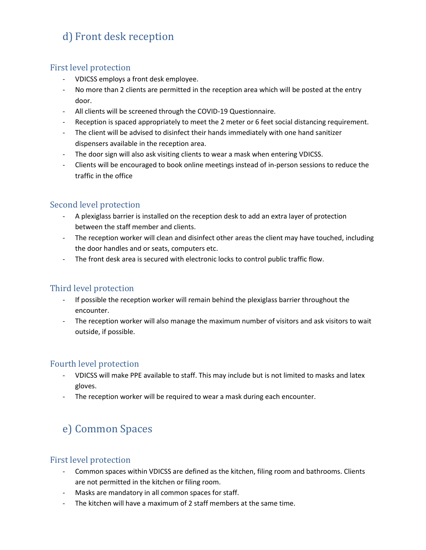# d) Front desk reception

#### First level protection

- VDICSS employs a front desk employee.
- No more than 2 clients are permitted in the reception area which will be posted at the entry door.
- All clients will be screened through the COVID-19 Questionnaire.
- Reception is spaced appropriately to meet the 2 meter or 6 feet social distancing requirement.
- The client will be advised to disinfect their hands immediately with one hand sanitizer dispensers available in the reception area.
- The door sign will also ask visiting clients to wear a mask when entering VDICSS.
- Clients will be encouraged to book online meetings instead of in-person sessions to reduce the traffic in the office

#### Second level protection

- A plexiglass barrier is installed on the reception desk to add an extra layer of protection between the staff member and clients.
- The reception worker will clean and disinfect other areas the client may have touched, including the door handles and or seats, computers etc.
- The front desk area is secured with electronic locks to control public traffic flow.

### Third level protection

- If possible the reception worker will remain behind the plexiglass barrier throughout the encounter.
- The reception worker will also manage the maximum number of visitors and ask visitors to wait outside, if possible.

### Fourth level protection

- VDICSS will make PPE available to staff. This may include but is not limited to masks and latex gloves.
- The reception worker will be required to wear a mask during each encounter.

# e) Common Spaces

#### First level protection

- Common spaces within VDICSS are defined as the kitchen, filing room and bathrooms. Clients are not permitted in the kitchen or filing room.
- Masks are mandatory in all common spaces for staff.
- The kitchen will have a maximum of 2 staff members at the same time.